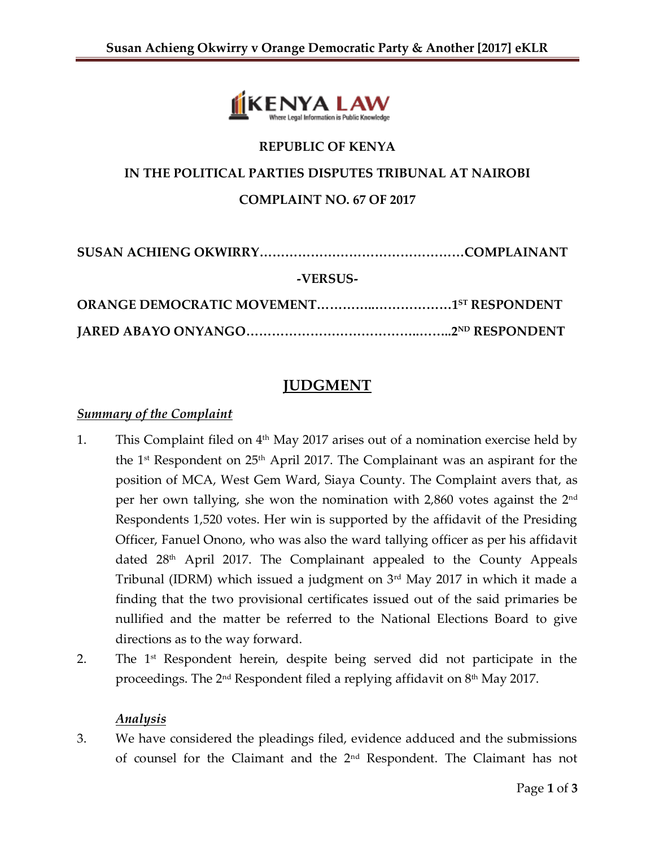

### **REPUBLIC OF KENYA**

# **IN THE POLITICAL PARTIES DISPUTES TRIBUNAL AT NAIROBI**

**COMPLAINT NO. 67 OF 2017**

**SUSAN ACHIENG OKWIRRY…………………………………………COMPLAINANT**

#### **-VERSUS-**

## **JUDGMENT**

### *Summary of the Complaint*

- 1. This Complaint filed on  $4<sup>th</sup>$  May 2017 arises out of a nomination exercise held by the 1st Respondent on 25th April 2017. The Complainant was an aspirant for the position of MCA, West Gem Ward, Siaya County. The Complaint avers that, as per her own tallying, she won the nomination with 2,860 votes against the 2nd Respondents 1,520 votes. Her win is supported by the affidavit of the Presiding Officer, Fanuel Onono, who was also the ward tallying officer as per his affidavit dated 28th April 2017. The Complainant appealed to the County Appeals Tribunal (IDRM) which issued a judgment on 3rd May 2017 in which it made a finding that the two provisional certificates issued out of the said primaries be nullified and the matter be referred to the National Elections Board to give directions as to the way forward.
- 2. The 1<sup>st</sup> Respondent herein, despite being served did not participate in the proceedings. The  $2<sup>nd</sup>$  Respondent filed a replying affidavit on  $8<sup>th</sup>$  May 2017.

### *Analysis*

3. We have considered the pleadings filed, evidence adduced and the submissions of counsel for the Claimant and the 2nd Respondent. The Claimant has not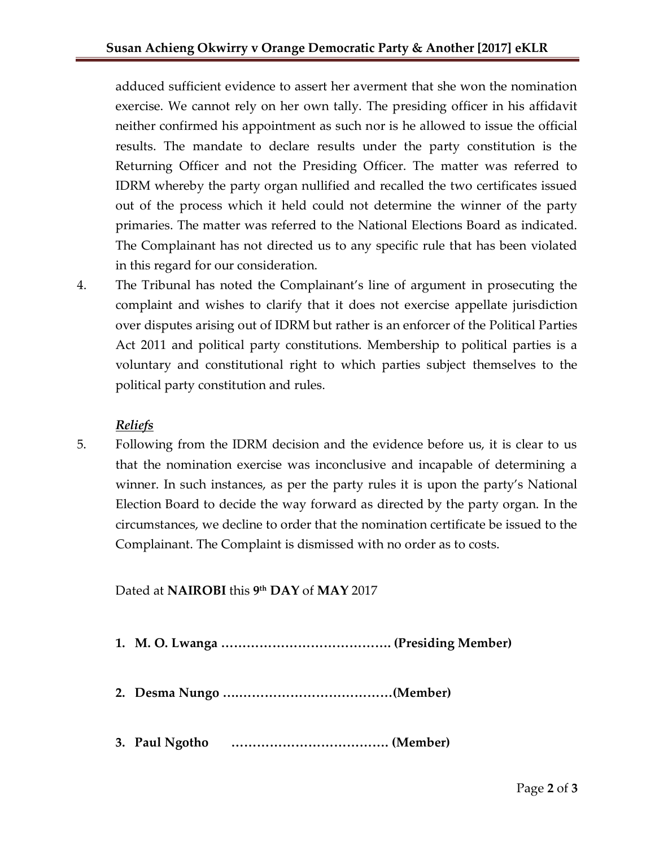adduced sufficient evidence to assert her averment that she won the nomination exercise. We cannot rely on her own tally. The presiding officer in his affidavit neither confirmed his appointment as such nor is he allowed to issue the official results. The mandate to declare results under the party constitution is the Returning Officer and not the Presiding Officer. The matter was referred to IDRM whereby the party organ nullified and recalled the two certificates issued out of the process which it held could not determine the winner of the party primaries. The matter was referred to the National Elections Board as indicated. The Complainant has not directed us to any specific rule that has been violated in this regard for our consideration.

4. The Tribunal has noted the Complainant's line of argument in prosecuting the complaint and wishes to clarify that it does not exercise appellate jurisdiction over disputes arising out of IDRM but rather is an enforcer of the Political Parties Act 2011 and political party constitutions. Membership to political parties is a voluntary and constitutional right to which parties subject themselves to the political party constitution and rules.

### *Reliefs*

5. Following from the IDRM decision and the evidence before us, it is clear to us that the nomination exercise was inconclusive and incapable of determining a winner. In such instances, as per the party rules it is upon the party's National Election Board to decide the way forward as directed by the party organ. In the circumstances, we decline to order that the nomination certificate be issued to the Complainant. The Complaint is dismissed with no order as to costs.

Dated at **NAIROBI** this **9 th DAY** of **MAY** 2017

- **1. M. O. Lwanga …………………………………. (Presiding Member)**
- **2. Desma Nungo ….………………………………(Member)**
- **3. Paul Ngotho ………………………………. (Member)**